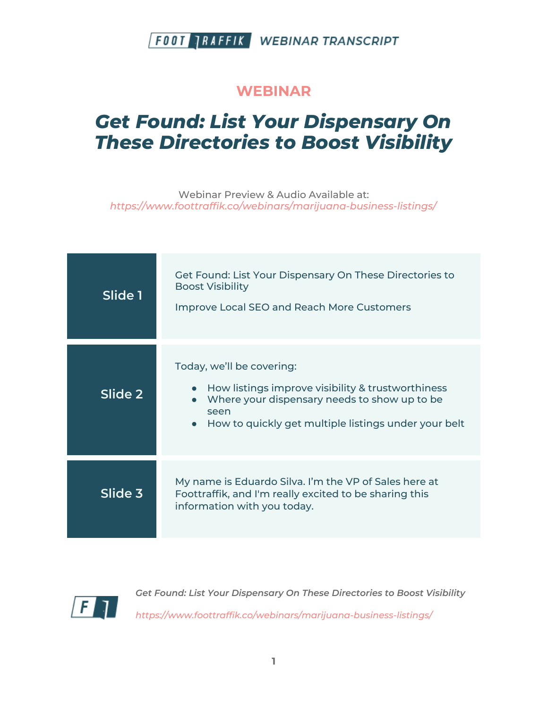#### **WEBINAR**

# *Get Found: List Your Dispensary On These Directories to Boost Visibility*

Webinar Preview & Audio Available at: *https://www.foottraffik.co/webinars/marijuana-business-listings/*

| Slide 1 | Get Found: List Your Dispensary On These Directories to<br><b>Boost Visibility</b><br><b>Improve Local SEO and Reach More Customers</b>                                                                     |
|---------|-------------------------------------------------------------------------------------------------------------------------------------------------------------------------------------------------------------|
| Slide 2 | Today, we'll be covering:<br>How listings improve visibility & trustworthiness<br>Where your dispensary needs to show up to be<br>seen<br>How to quickly get multiple listings under your belt<br>$\bullet$ |
| Slide 3 | My name is Eduardo Silva. I'm the VP of Sales here at<br>Foottraffik, and I'm really excited to be sharing this<br>information with you today.                                                              |

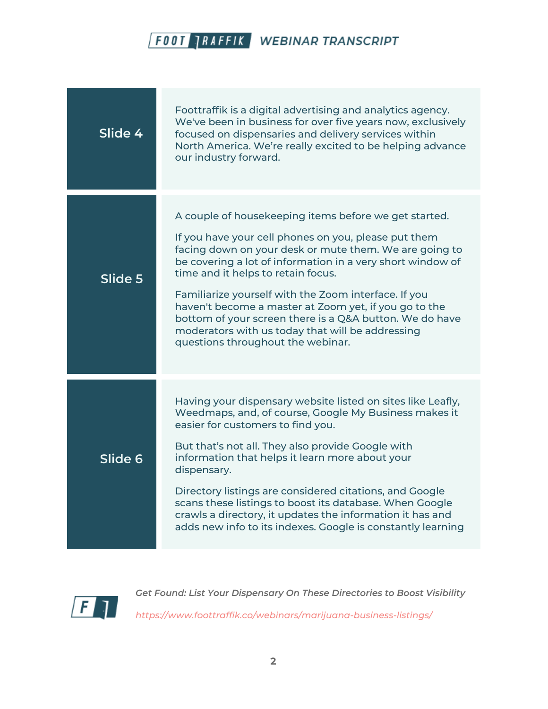

| Slide 4 | Foottraffik is a digital advertising and analytics agency.<br>We've been in business for over five years now, exclusively<br>focused on dispensaries and delivery services within<br>North America. We're really excited to be helping advance<br>our industry forward.                                                                                                                                                                                                                                                                          |
|---------|--------------------------------------------------------------------------------------------------------------------------------------------------------------------------------------------------------------------------------------------------------------------------------------------------------------------------------------------------------------------------------------------------------------------------------------------------------------------------------------------------------------------------------------------------|
| Slide 5 | A couple of housekeeping items before we get started.<br>If you have your cell phones on you, please put them<br>facing down on your desk or mute them. We are going to<br>be covering a lot of information in a very short window of<br>time and it helps to retain focus.<br>Familiarize yourself with the Zoom interface. If you<br>haven't become a master at Zoom yet, if you go to the<br>bottom of your screen there is a Q&A button. We do have<br>moderators with us today that will be addressing<br>questions throughout the webinar. |
| Slide 6 | Having your dispensary website listed on sites like Leafly,<br>Weedmaps, and, of course, Google My Business makes it<br>easier for customers to find you.<br>But that's not all. They also provide Google with<br>information that helps it learn more about your<br>dispensary.<br>Directory listings are considered citations, and Google<br>scans these listings to boost its database. When Google<br>crawls a directory, it updates the information it has and<br>adds new info to its indexes. Google is constantly learning               |

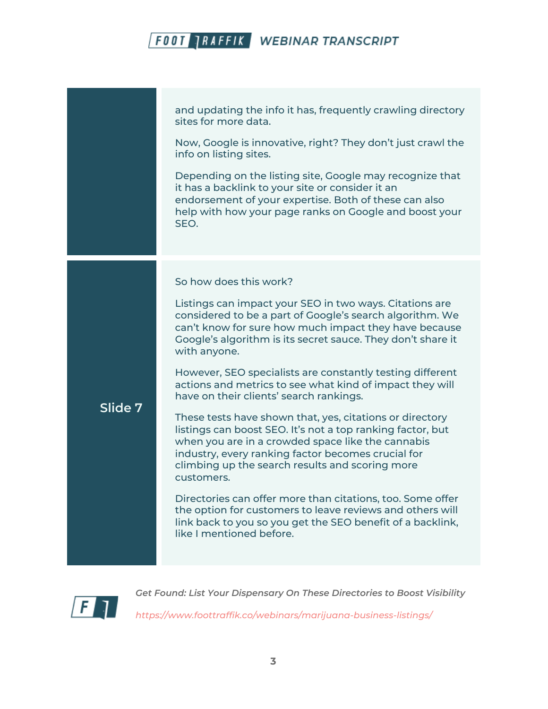|         | and updating the info it has, frequently crawling directory<br>sites for more data.<br>Now, Google is innovative, right? They don't just crawl the                                                                                                                                                 |
|---------|----------------------------------------------------------------------------------------------------------------------------------------------------------------------------------------------------------------------------------------------------------------------------------------------------|
|         | info on listing sites.<br>Depending on the listing site, Google may recognize that<br>it has a backlink to your site or consider it an<br>endorsement of your expertise. Both of these can also<br>help with how your page ranks on Google and boost your<br>SEO.                                  |
| Slide 7 | So how does this work?                                                                                                                                                                                                                                                                             |
|         | Listings can impact your SEO in two ways. Citations are<br>considered to be a part of Google's search algorithm. We<br>can't know for sure how much impact they have because<br>Google's algorithm is its secret sauce. They don't share it<br>with anyone.                                        |
|         | However, SEO specialists are constantly testing different<br>actions and metrics to see what kind of impact they will<br>have on their clients' search rankings.                                                                                                                                   |
|         | These tests have shown that, yes, citations or directory<br>listings can boost SEO. It's not a top ranking factor, but<br>when you are in a crowded space like the cannabis<br>industry, every ranking factor becomes crucial for<br>climbing up the search results and scoring more<br>customers. |
|         | Directories can offer more than citations, too. Some offer<br>the option for customers to leave reviews and others will<br>link back to you so you get the SEO benefit of a backlink,<br>like I mentioned before.                                                                                  |
|         |                                                                                                                                                                                                                                                                                                    |

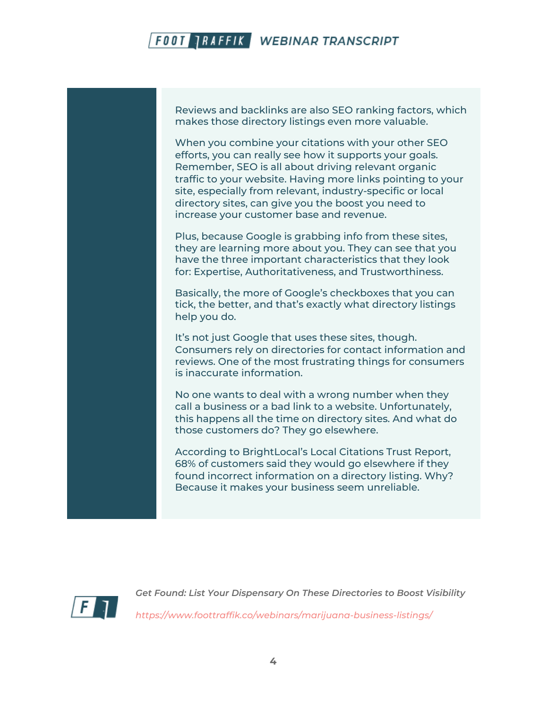Reviews and backlinks are also SEO ranking factors, which makes those directory listings even more valuable.

When you combine your citations with your other SEO efforts, you can really see how it supports your goals. Remember, SEO is all about driving relevant organic traffic to your website. Having more links pointing to your site, especially from relevant, industry-specific or local directory sites, can give you the boost you need to increase your customer base and revenue.

Plus, because Google is grabbing info from these sites, they are learning more about you. They can see that you have the three important characteristics that they look for: Expertise, Authoritativeness, and Trustworthiness.

Basically, the more of Google's checkboxes that you can tick, the better, and that's exactly what directory listings help you do.

It's not just Google that uses these sites, though. Consumers rely on directories for contact information and reviews. One of the most frustrating things for consumers is inaccurate information.

No one wants to deal with a wrong number when they call a business or a bad link to a website. Unfortunately, this happens all the time on directory sites. And what do those customers do? They go elsewhere.

According to BrightLocal's Local Citations Trust Report, 68% of customers said they would go elsewhere if they found incorrect information on a directory listing. Why? Because it makes your business seem unreliable.

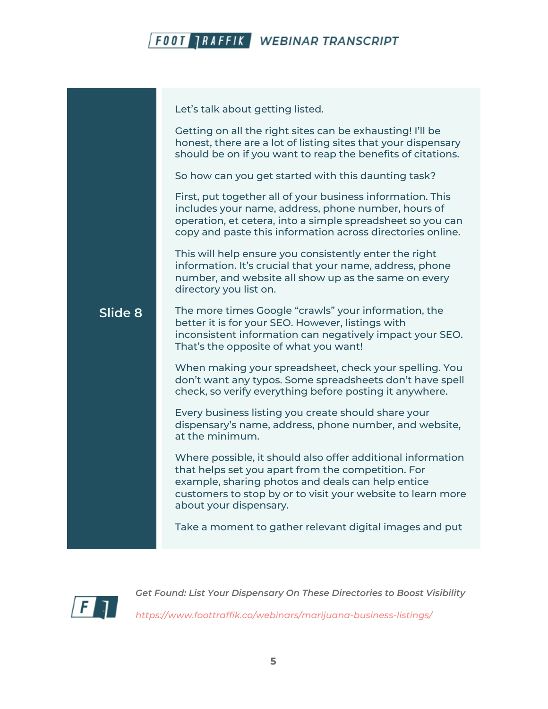

Let's talk about getting listed.

Getting on all the right sites can be exhausting! I'll be honest, there are a lot of listing sites that your dispensary should be on if you want to reap the benefits of citations.

So how can you get started with this daunting task?

First, put together all of your business information. This includes your name, address, phone number, hours of operation, et cetera, into a simple spreadsheet so you can copy and paste this information across directories online.

This will help ensure you consistently enter the right information. It's crucial that your name, address, phone number, and website all show up as the same on every directory you list on.

#### **Slide 8** The more times Google "crawls" your information, the better it is for your SEO. However, listings with inconsistent information can negatively impact your SEO. That's the opposite of what you want!

When making your spreadsheet, check your spelling. You don't want any typos. Some spreadsheets don't have spell check, so verify everything before posting it anywhere.

Every business listing you create should share your dispensary's name, address, phone number, and website, at the minimum.

Where possible, it should also offer additional information that helps set you apart from the competition. For example, sharing photos and deals can help entice customers to stop by or to visit your website to learn more about your dispensary.

Take a moment to gather relevant digital images and put

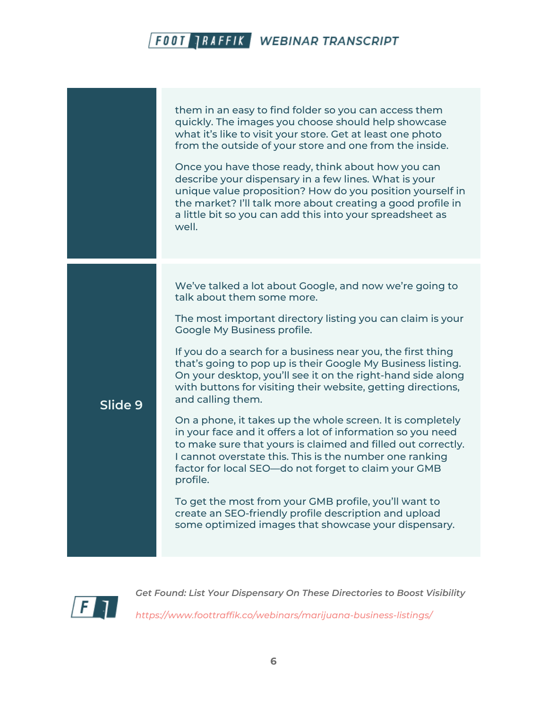them in an easy to find folder so you can access them quickly. The images you choose should help showcase what it's like to visit your store. Get at least one photo from the outside of your store and one from the inside. Once you have those ready, think about how you can describe your dispensary in a few lines. What is your unique value proposition? How do you position yourself in the market? I'll talk more about creating a good profile in a little bit so you can add this into your spreadsheet as well. **Slide 9** We've talked a lot about Google, and now we're going to talk about them some more. The most important directory listing you can claim is your Google My Business profile. If you do a search for a business near you, the first thing that's going to pop up is their Google My Business listing. On your desktop, you'll see it on the right-hand side along with buttons for visiting their website, getting directions, and calling them. On a phone, it takes up the whole screen. It is completely in your face and it offers a lot of information so you need to make sure that yours is claimed and filled out correctly. I cannot overstate this. This is the number one ranking factor for local SEO—do not forget to claim your GMB profile. To get the most from your GMB profile, you'll want to create an SEO-friendly profile description and upload some optimized images that showcase your dispensary.

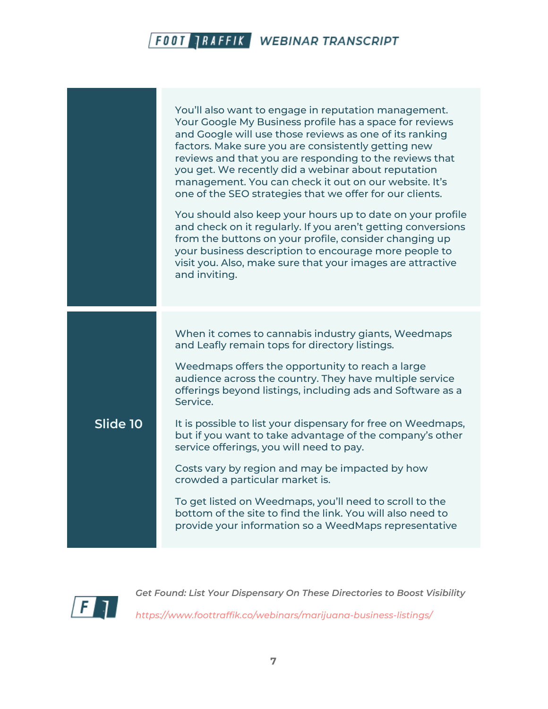|          | You'll also want to engage in reputation management.<br>Your Google My Business profile has a space for reviews<br>and Google will use those reviews as one of its ranking<br>factors. Make sure you are consistently getting new<br>reviews and that you are responding to the reviews that<br>you get. We recently did a webinar about reputation<br>management. You can check it out on our website. It's<br>one of the SEO strategies that we offer for our clients.<br>You should also keep your hours up to date on your profile<br>and check on it regularly. If you aren't getting conversions<br>from the buttons on your profile, consider changing up<br>your business description to encourage more people to<br>visit you. Also, make sure that your images are attractive<br>and inviting. |
|----------|----------------------------------------------------------------------------------------------------------------------------------------------------------------------------------------------------------------------------------------------------------------------------------------------------------------------------------------------------------------------------------------------------------------------------------------------------------------------------------------------------------------------------------------------------------------------------------------------------------------------------------------------------------------------------------------------------------------------------------------------------------------------------------------------------------|
| Slide 10 | When it comes to cannabis industry giants, Weedmaps<br>and Leafly remain tops for directory listings.<br>Weedmaps offers the opportunity to reach a large<br>audience across the country. They have multiple service<br>offerings beyond listings, including ads and Software as a<br>Service.<br>It is possible to list your dispensary for free on Weedmaps,<br>but if you want to take advantage of the company's other<br>service offerings, you will need to pay.<br>Costs vary by region and may be impacted by how<br>crowded a particular market is.<br>To get listed on Weedmaps, you'll need to scroll to the<br>bottom of the site to find the link. You will also need to<br>provide your information so a WeedMaps representative                                                           |

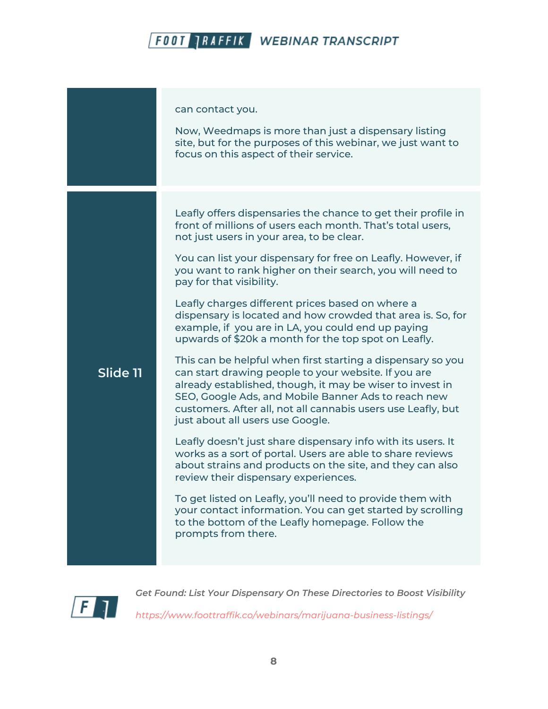|          | can contact you.<br>Now, Weedmaps is more than just a dispensary listing<br>site, but for the purposes of this webinar, we just want to<br>focus on this aspect of their service.                                                                                                                                                                                                                                                                                                                                                                                                                                                                                                                                                                                                                                                                                                                                                                                                                                                                                                                                                                                                                                                                                                                                                                          |
|----------|------------------------------------------------------------------------------------------------------------------------------------------------------------------------------------------------------------------------------------------------------------------------------------------------------------------------------------------------------------------------------------------------------------------------------------------------------------------------------------------------------------------------------------------------------------------------------------------------------------------------------------------------------------------------------------------------------------------------------------------------------------------------------------------------------------------------------------------------------------------------------------------------------------------------------------------------------------------------------------------------------------------------------------------------------------------------------------------------------------------------------------------------------------------------------------------------------------------------------------------------------------------------------------------------------------------------------------------------------------|
| Slide 11 | Leafly offers dispensaries the chance to get their profile in<br>front of millions of users each month. That's total users,<br>not just users in your area, to be clear.<br>You can list your dispensary for free on Leafly. However, if<br>you want to rank higher on their search, you will need to<br>pay for that visibility.<br>Leafly charges different prices based on where a<br>dispensary is located and how crowded that area is. So, for<br>example, if you are in LA, you could end up paying<br>upwards of \$20k a month for the top spot on Leafly.<br>This can be helpful when first starting a dispensary so you<br>can start drawing people to your website. If you are<br>already established, though, it may be wiser to invest in<br>SEO, Google Ads, and Mobile Banner Ads to reach new<br>customers. After all, not all cannabis users use Leafly, but<br>just about all users use Google.<br>Leafly doesn't just share dispensary info with its users. It<br>works as a sort of portal. Users are able to share reviews<br>about strains and products on the site, and they can also<br>review their dispensary experiences.<br>To get listed on Leafly, you'll need to provide them with<br>your contact information. You can get started by scrolling<br>to the bottom of the Leafly homepage. Follow the<br>prompts from there. |

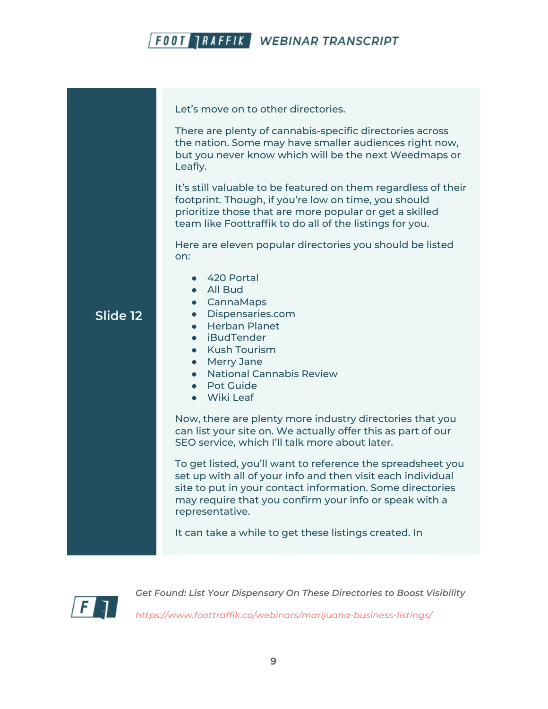

Let's move on to other directories.

There are plenty of cannabis-specific directories across the nation. Some may have smaller audiences right now, but you never know which will be the next Weedmaps or Leafly.

It's still valuable to be featured on them regardless of their footprint. Though, if you're low on time, you should prioritize those that are more popular or get a skilled team like Foottraffik to do all of the listings for you.

Here are eleven popular directories you should be listed on:

- 420 Portal
- All Bud
- CannaMaps

#### **Slide 12**

● Herban Planet

● Dispensaries.com

- iBudTender
- Kush Tourism
- Merry Jane
- National Cannabis Review
- Pot Guide
- Wiki Leaf

Now, there are plenty more industry directories that you can list your site on. We actually offer this as part of our SEO service, which I'll talk more about later.

To get listed, you'll want to reference the spreadsheet you set up with all of your info and then visit each individual site to put in your contact information. Some directories may require that you confirm your info or speak with a representative.

It can take a while to get these listings created. In

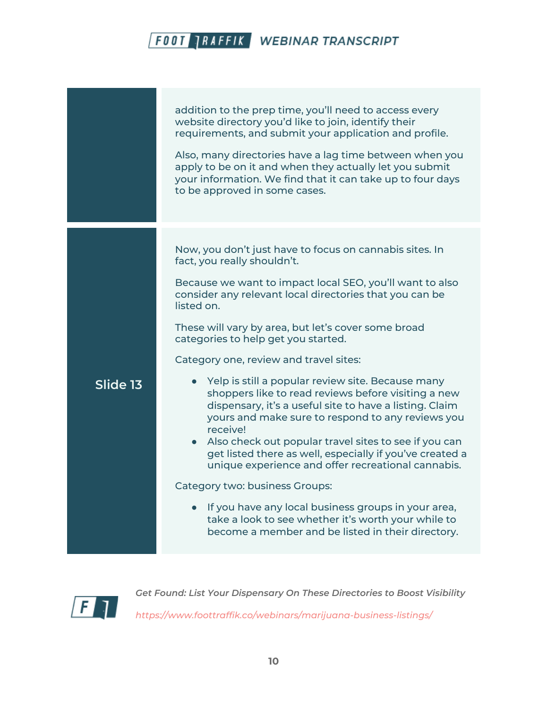|          | addition to the prep time, you'll need to access every<br>website directory you'd like to join, identify their<br>requirements, and submit your application and profile.<br>Also, many directories have a lag time between when you<br>apply to be on it and when they actually let you submit<br>your information. We find that it can take up to four days<br>to be approved in some cases.                                                                                                                                                                                                                              |
|----------|----------------------------------------------------------------------------------------------------------------------------------------------------------------------------------------------------------------------------------------------------------------------------------------------------------------------------------------------------------------------------------------------------------------------------------------------------------------------------------------------------------------------------------------------------------------------------------------------------------------------------|
|          | Now, you don't just have to focus on cannabis sites. In<br>fact, you really shouldn't.<br>Because we want to impact local SEO, you'll want to also<br>consider any relevant local directories that you can be<br>listed on.<br>These will vary by area, but let's cover some broad<br>categories to help get you started.<br>Category one, review and travel sites:                                                                                                                                                                                                                                                        |
| Slide 13 | • Yelp is still a popular review site. Because many<br>shoppers like to read reviews before visiting a new<br>dispensary, it's a useful site to have a listing. Claim<br>yours and make sure to respond to any reviews you<br>receive!<br>• Also check out popular travel sites to see if you can<br>get listed there as well, especially if you've created a<br>unique experience and offer recreational cannabis.<br>Category two: business Groups:<br>• If you have any local business groups in your area,<br>take a look to see whether it's worth your while to<br>become a member and be listed in their directory. |

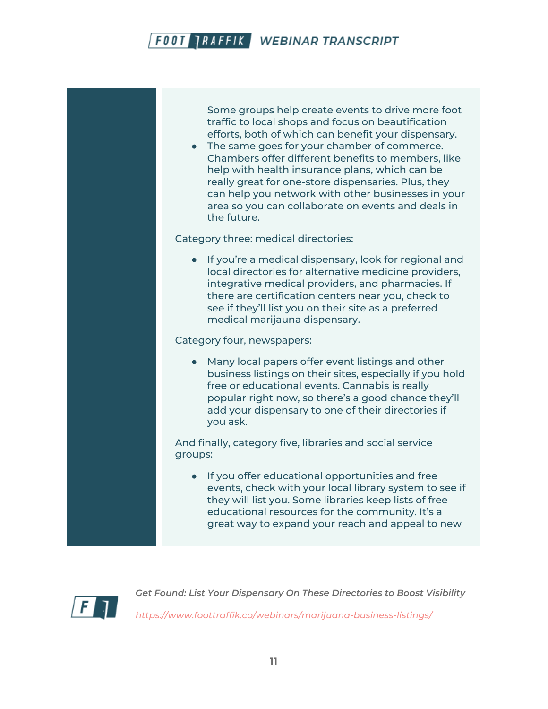Some groups help create events to drive more foot traffic to local shops and focus on beautification efforts, both of which can benefit your dispensary.

● The same goes for your chamber of commerce. Chambers offer different benefits to members, like help with health insurance plans, which can be really great for one-store dispensaries. Plus, they can help you network with other businesses in your area so you can collaborate on events and deals in the future.

Category three: medical directories:

● If you're a medical dispensary, look for regional and local directories for alternative medicine providers, integrative medical providers, and pharmacies. If there are certification centers near you, check to see if they'll list you on their site as a preferred medical marijauna dispensary.

Category four, newspapers:

● Many local papers offer event listings and other business listings on their sites, especially if you hold free or educational events. Cannabis is really popular right now, so there's a good chance they'll add your dispensary to one of their directories if you ask.

And finally, category five, libraries and social service groups:

● If you offer educational opportunities and free events, check with your local library system to see if they will list you. Some libraries keep lists of free educational resources for the community. It's a great way to expand your reach and appeal to new

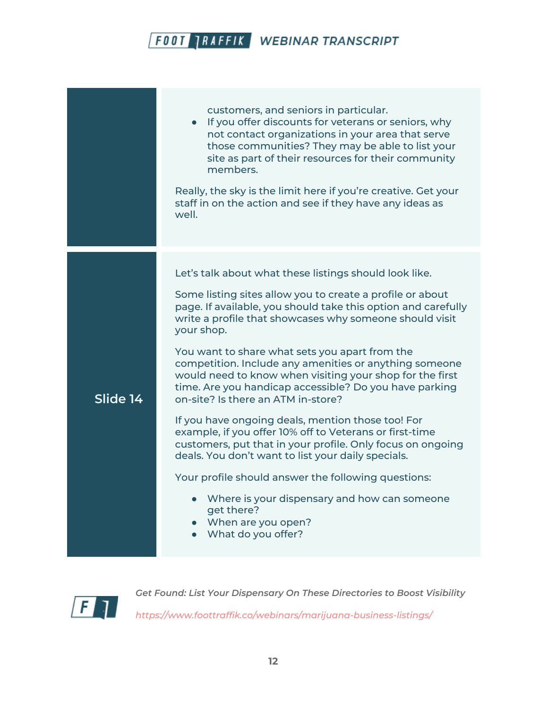|          | customers, and seniors in particular.<br>• If you offer discounts for veterans or seniors, why<br>not contact organizations in your area that serve<br>those communities? They may be able to list your<br>site as part of their resources for their community<br>members.<br>Really, the sky is the limit here if you're creative. Get your<br>staff in on the action and see if they have any ideas as<br>well.                                                                                                                                                                                                                                                                                                                                                                                                                                                                                                                          |
|----------|--------------------------------------------------------------------------------------------------------------------------------------------------------------------------------------------------------------------------------------------------------------------------------------------------------------------------------------------------------------------------------------------------------------------------------------------------------------------------------------------------------------------------------------------------------------------------------------------------------------------------------------------------------------------------------------------------------------------------------------------------------------------------------------------------------------------------------------------------------------------------------------------------------------------------------------------|
| Slide 14 | Let's talk about what these listings should look like.<br>Some listing sites allow you to create a profile or about<br>page. If available, you should take this option and carefully<br>write a profile that showcases why someone should visit<br>your shop.<br>You want to share what sets you apart from the<br>competition. Include any amenities or anything someone<br>would need to know when visiting your shop for the first<br>time. Are you handicap accessible? Do you have parking<br>on-site? Is there an ATM in-store?<br>If you have ongoing deals, mention those too! For<br>example, if you offer 10% off to Veterans or first-time<br>customers, put that in your profile. Only focus on ongoing<br>deals. You don't want to list your daily specials.<br>Your profile should answer the following questions:<br>Where is your dispensary and how can someone<br>get there?<br>When are you open?<br>What do you offer? |

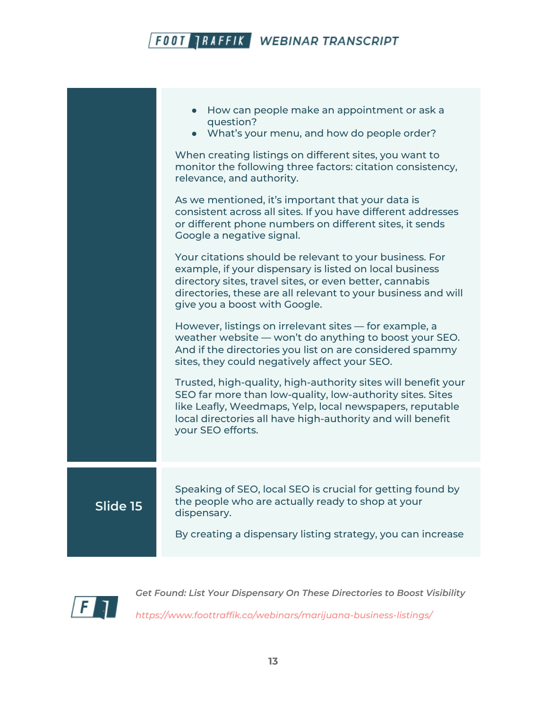|          | How can people make an appointment or ask a<br>question?<br>• What's your menu, and how do people order?<br>When creating listings on different sites, you want to<br>monitor the following three factors: citation consistency,<br>relevance, and authority.<br>As we mentioned, it's important that your data is<br>consistent across all sites. If you have different addresses<br>or different phone numbers on different sites, it sends<br>Google a negative signal.<br>Your citations should be relevant to your business. For<br>example, if your dispensary is listed on local business<br>directory sites, travel sites, or even better, cannabis<br>directories, these are all relevant to your business and will<br>give you a boost with Google.<br>However, listings on irrelevant sites - for example, a<br>weather website — won't do anything to boost your SEO.<br>And if the directories you list on are considered spammy<br>sites, they could negatively affect your SEO.<br>Trusted, high-quality, high-authority sites will benefit your<br>SEO far more than low-quality, low-authority sites. Sites<br>like Leafly, Weedmaps, Yelp, local newspapers, reputable<br>local directories all have high-authority and will benefit<br>your SEO efforts. |
|----------|-----------------------------------------------------------------------------------------------------------------------------------------------------------------------------------------------------------------------------------------------------------------------------------------------------------------------------------------------------------------------------------------------------------------------------------------------------------------------------------------------------------------------------------------------------------------------------------------------------------------------------------------------------------------------------------------------------------------------------------------------------------------------------------------------------------------------------------------------------------------------------------------------------------------------------------------------------------------------------------------------------------------------------------------------------------------------------------------------------------------------------------------------------------------------------------------------------------------------------------------------------------------------------|
|          |                                                                                                                                                                                                                                                                                                                                                                                                                                                                                                                                                                                                                                                                                                                                                                                                                                                                                                                                                                                                                                                                                                                                                                                                                                                                             |
| Slide 15 | Speaking of SEO, local SEO is crucial for getting found by<br>the people who are actually ready to shop at your<br>dispensary.<br>By creating a dispensary listing strategy, you can increase                                                                                                                                                                                                                                                                                                                                                                                                                                                                                                                                                                                                                                                                                                                                                                                                                                                                                                                                                                                                                                                                               |
|          |                                                                                                                                                                                                                                                                                                                                                                                                                                                                                                                                                                                                                                                                                                                                                                                                                                                                                                                                                                                                                                                                                                                                                                                                                                                                             |

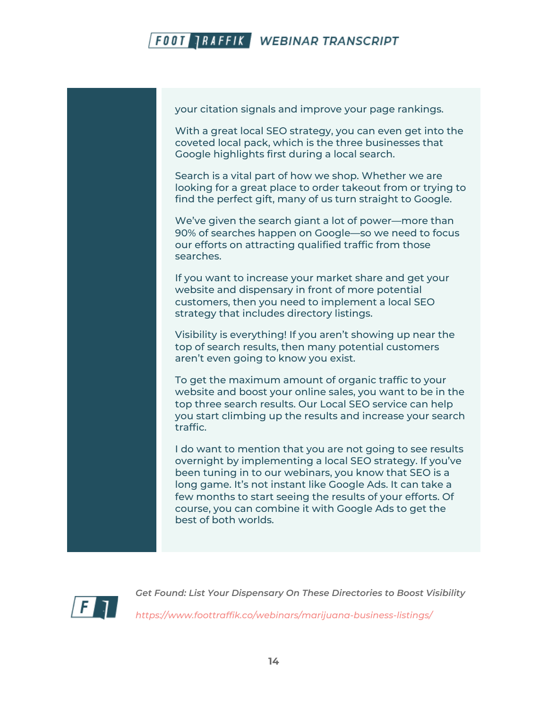



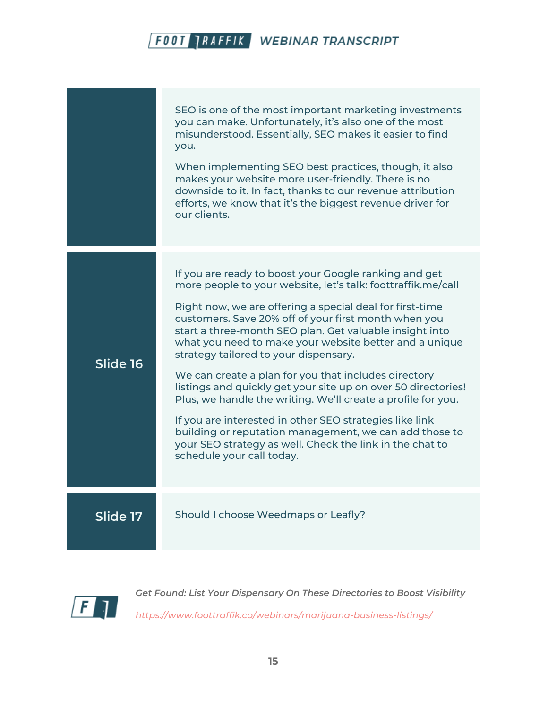|          | SEO is one of the most important marketing investments<br>you can make. Unfortunately, it's also one of the most<br>misunderstood. Essentially, SEO makes it easier to find<br>you.<br>When implementing SEO best practices, though, it also<br>makes your website more user-friendly. There is no<br>downside to it. In fact, thanks to our revenue attribution<br>efforts, we know that it's the biggest revenue driver for<br>our clients.                                                                                                                                                                                                                                                                                                                                                                  |
|----------|----------------------------------------------------------------------------------------------------------------------------------------------------------------------------------------------------------------------------------------------------------------------------------------------------------------------------------------------------------------------------------------------------------------------------------------------------------------------------------------------------------------------------------------------------------------------------------------------------------------------------------------------------------------------------------------------------------------------------------------------------------------------------------------------------------------|
| Slide 16 | If you are ready to boost your Google ranking and get<br>more people to your website, let's talk: foottraffik.me/call<br>Right now, we are offering a special deal for first-time<br>customers. Save 20% off of your first month when you<br>start a three-month SEO plan. Get valuable insight into<br>what you need to make your website better and a unique<br>strategy tailored to your dispensary.<br>We can create a plan for you that includes directory<br>listings and quickly get your site up on over 50 directories!<br>Plus, we handle the writing. We'll create a profile for you.<br>If you are interested in other SEO strategies like link<br>building or reputation management, we can add those to<br>your SEO strategy as well. Check the link in the chat to<br>schedule your call today. |
| Slide 17 | Should I choose Weedmaps or Leafly?                                                                                                                                                                                                                                                                                                                                                                                                                                                                                                                                                                                                                                                                                                                                                                            |